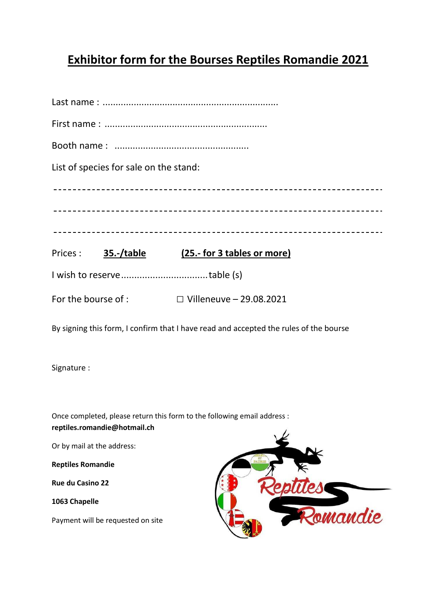## **Exhibitor form for the Bourses Reptiles Romandie 2021**

| List of species for sale on the stand: |                                |
|----------------------------------------|--------------------------------|
|                                        |                                |
|                                        |                                |
|                                        |                                |
| Prices: <b>35.-/table</b>              | (25.- for 3 tables or more)    |
|                                        |                                |
| For the bourse of :                    | $\Box$ Villeneuve - 29.08.2021 |

By signing this form, I confirm that I have read and accepted the rules of the bourse

Signature :

Once completed, please return this form to the following email address : **reptiles.romandie@hotmail.ch** 

Or by mail at the address:

**Reptiles Romandie** 

**Rue du Casino 22** 

**1063 Chapelle** 

Payment will be requested on site

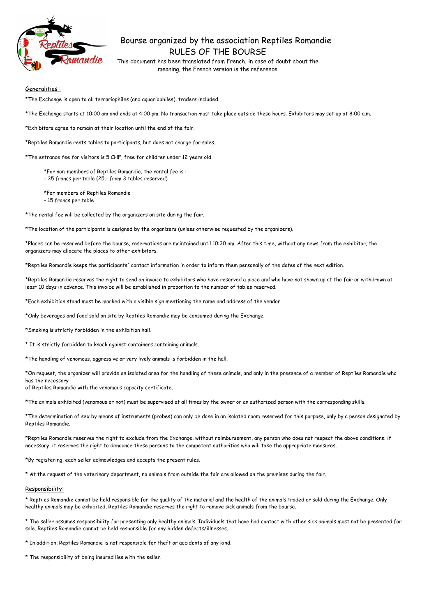

# Bourse organized by the association Reptiles Romandie RULES OF THE BOURSE

This document has been translated from French, in case of doubt about the meaning, the French version is the reference

## Generalities :

\*The Exchange is open to all terrariophiles (and aquariophiles), traders included.

\*The Exchange starts at 10:00 am and ends at 4:00 pm. No transaction must take place outside these hours. Exhibitors may set up at 8:00 a.m.

\*Exhibitors agree to remain at their location until the end of the fair.

\*Reptiles Romandie rents tables to participants, but does not charge for sales.

\*The entrance fee for visitors is 5 CHF, free for children under 12 years old.

\*For non-members of Reptiles Romandie, the rental fee is :

- 35 francs per table (25.- from 3 tables reserved)

\*For members of Reptiles Romandie :

- 15 francs per table

\*The rental fee will be collected by the organizers on site during the fair.

\*The location of the participants is assigned by the organizers (unless otherwise requested by the organizers).

\*Places can be reserved before the bourse, reservations are maintained until 10:30 am. After this time, without any news from the exhibitor, the organizers may allocate the places to other exhibitors.

\*Reptiles Romandie keeps the participants' contact information in order to inform them personally of the dates of the next edition.

\*Reptiles Romandie reserves the right to send an invoice to exhibitors who have reserved a place and who have not shown up at the fair or withdrawn at least 10 days in advance. This invoice will be established in proportion to the number of tables reserved.

\*Each exhibition stand must be marked with a visible sign mentioning the name and address of the vendor.

\*Only beverages and food sold on site by Reptiles Romandie may be consumed during the Exchange.

\*Smoking is strictly forbidden in the exhibition hall.

\* It is strictly forbidden to knock against containers containing animals.

\*The handling of venomous, aggressive or very lively animals is forbidden in the hall.

\*On request, the organizer will provide an isolated area for the handling of these animals, and only in the presence of a member of Reptiles Romandie who has the necessary

of Reptiles Romandie with the venomous capacity certificate.

\*The animals exhibited (venomous or not) must be supervised at all times by the owner or an authorized person with the corresponding skills.

\*The determination of sex by means of instruments (probes) can only be done in an isolated room reserved for this purpose, only by a person designated by Reptiles Romandie.

\*Reptiles Romandie reserves the right to exclude from the Exchange, without reimbursement, any person who does not respect the above conditions; if necessary, it reserves the right to denounce these persons to the competent authorities who will take the appropriate measures.

\*By registering, each seller acknowledges and accepts the present rules.

\* At the request of the veterinary department, no animals from outside the fair are allowed on the premises during the fair.

#### Responsibility:

\* Reptiles Romandie cannot be held responsible for the quality of the material and the health of the animals traded or sold during the Exchange. Only healthy animals may be exhibited, Reptiles Romandie reserves the right to remove sick animals from the bourse.

\* The seller assumes responsibility for presenting only healthy animals. Individuals that have had contact with other sick animals must not be presented for sale. Reptiles Romandie cannot be held responsible for any hidden defects/illnesses.

\* In addition, Reptiles Romandie is not responsible for theft or accidents of any kind.

\* The responsibility of being insured lies with the seller.